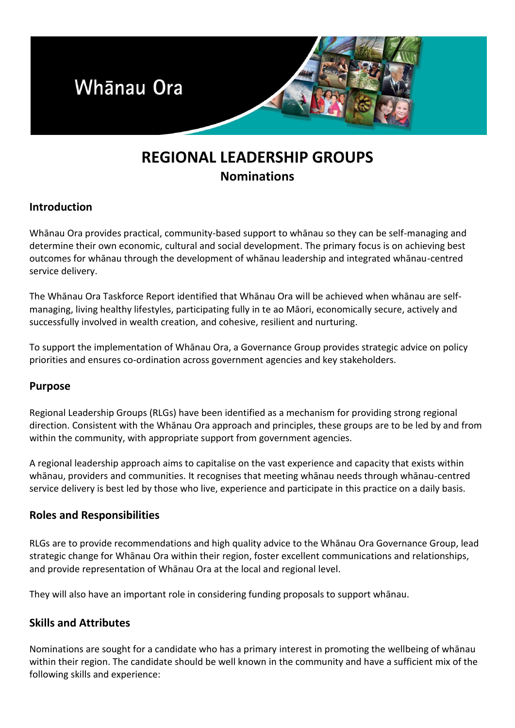

# **REGIONAL LEADERSHIP GROUPS Nominations**

# **Introduction**

Whānau Ora provides practical, community-based support to whānau so they can be self-managing and determine their own economic, cultural and social development. The primary focus is on achieving best outcomes for whānau through the development of whānau leadership and integrated whānau-centred service delivery.

The Whānau Ora Taskforce Report identified that Whānau Ora will be achieved when whānau are selfmanaging, living healthy lifestyles, participating fully in te ao Māori, economically secure, actively and successfully involved in wealth creation, and cohesive, resilient and nurturing.

To support the implementation of Whānau Ora, a Governance Group provides strategic advice on policy priorities and ensures co-ordination across government agencies and key stakeholders.

## **Purpose**

Regional Leadership Groups (RLGs) have been identified as a mechanism for providing strong regional direction. Consistent with the Whānau Ora approach and principles, these groups are to be led by and from within the community, with appropriate support from government agencies.

A regional leadership approach aims to capitalise on the vast experience and capacity that exists within whānau, providers and communities. It recognises that meeting whānau needs through whānau-centred service delivery is best led by those who live, experience and participate in this practice on a daily basis.

## **Roles and Responsibilities**

RLGs are to provide recommendations and high quality advice to the Whānau Ora Governance Group, lead strategic change for Whānau Ora within their region, foster excellent communications and relationships, and provide representation of Whānau Ora at the local and regional level.

They will also have an important role in considering funding proposals to support whānau.

## **Skills and Attributes**

Nominations are sought for a candidate who has a primary interest in promoting the wellbeing of whānau within their region. The candidate should be well known in the community and have a sufficient mix of the following skills and experience: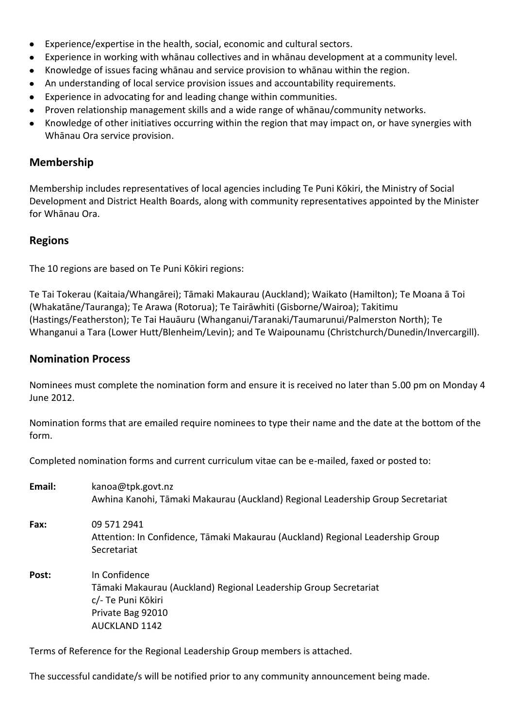- Experience/expertise in the health, social, economic and cultural sectors.  $\bullet$
- Experience in working with whānau collectives and in whānau development at a community level.
- Knowledge of issues facing whānau and service provision to whānau within the region.
- An understanding of local service provision issues and accountability requirements.
- Experience in advocating for and leading change within communities.
- Proven relationship management skills and a wide range of whānau/community networks.
- Knowledge of other initiatives occurring within the region that may impact on, or have synergies with Whānau Ora service provision.

#### **Membership**

Membership includes representatives of local agencies including Te Puni Kōkiri, the Ministry of Social Development and District Health Boards, along with community representatives appointed by the Minister for Whānau Ora.

#### **Regions**

The 10 regions are based on Te Puni Kōkiri regions:

Te Tai Tokerau (Kaitaia/Whangārei); Tāmaki Makaurau (Auckland); Waikato (Hamilton); Te Moana ā Toi (Whakatāne/Tauranga); Te Arawa (Rotorua); Te Tairāwhiti (Gisborne/Wairoa); Takitimu (Hastings/Featherston); Te Tai Hauāuru (Whanganui/Taranaki/Taumarunui/Palmerston North); Te Whanganui a Tara (Lower Hutt/Blenheim/Levin); and Te Waipounamu (Christchurch/Dunedin/Invercargill).

#### **Nomination Process**

Nominees must complete the nomination form and ensure it is received no later than 5.00 pm on Monday 4 June 2012.

Nomination forms that are emailed require nominees to type their name and the date at the bottom of the form.

Completed nomination forms and current curriculum vitae can be e-mailed, faxed or posted to:

| Email: | kanoa@tpk.govt.nz<br>Awhina Kanohi, Tāmaki Makaurau (Auckland) Regional Leadership Group Secretariat                                                 |
|--------|------------------------------------------------------------------------------------------------------------------------------------------------------|
| Fax:   | 09 571 2941<br>Attention: In Confidence, Tāmaki Makaurau (Auckland) Regional Leadership Group<br>Secretariat                                         |
| Post:  | In Confidence<br>Tāmaki Makaurau (Auckland) Regional Leadership Group Secretariat<br>c/- Te Puni Kōkiri<br>Private Bag 92010<br><b>AUCKLAND 1142</b> |

Terms of Reference for the Regional Leadership Group members is attached.

The successful candidate/s will be notified prior to any community announcement being made.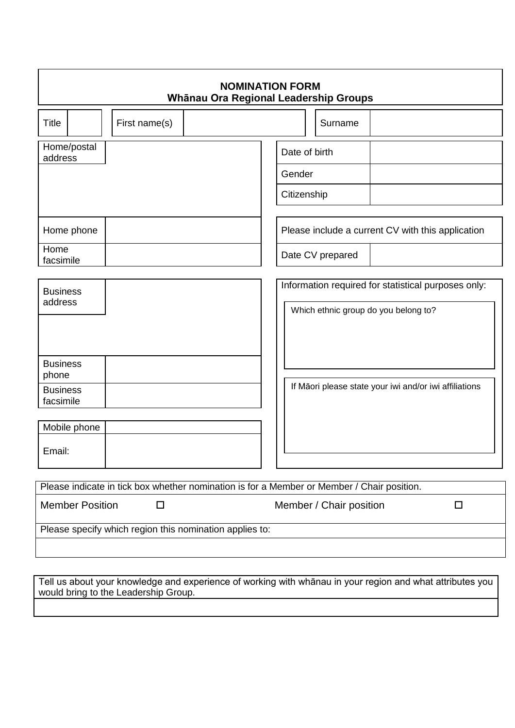| <b>NOMINATION FORM</b><br>Whānau Ora Regional Leadership Groups |               |                                                                                            |               |                         |                                                        |        |
|-----------------------------------------------------------------|---------------|--------------------------------------------------------------------------------------------|---------------|-------------------------|--------------------------------------------------------|--------|
| <b>Title</b>                                                    | First name(s) |                                                                                            |               | Surname                 |                                                        |        |
| Home/postal<br>address                                          |               |                                                                                            | Date of birth |                         |                                                        |        |
|                                                                 |               |                                                                                            | Gender        |                         |                                                        |        |
|                                                                 |               |                                                                                            | Citizenship   |                         |                                                        |        |
|                                                                 |               |                                                                                            |               |                         |                                                        |        |
| Home phone                                                      |               |                                                                                            |               |                         | Please include a current CV with this application      |        |
| Home<br>facsimile                                               |               |                                                                                            |               | Date CV prepared        |                                                        |        |
|                                                                 |               |                                                                                            |               |                         |                                                        |        |
| <b>Business</b>                                                 |               |                                                                                            |               |                         | Information required for statistical purposes only:    |        |
| address                                                         |               |                                                                                            |               |                         | Which ethnic group do you belong to?                   |        |
|                                                                 |               |                                                                                            |               |                         |                                                        |        |
| <b>Business</b><br>phone                                        |               |                                                                                            |               |                         |                                                        |        |
| <b>Business</b><br>facsimile                                    |               |                                                                                            |               |                         | If Māori please state your iwi and/or iwi affiliations |        |
|                                                                 |               |                                                                                            |               |                         |                                                        |        |
| Mobile phone                                                    |               |                                                                                            |               |                         |                                                        |        |
| Email:                                                          |               |                                                                                            |               |                         |                                                        |        |
|                                                                 |               |                                                                                            |               |                         |                                                        |        |
|                                                                 |               | Please indicate in tick box whether nomination is for a Member or Member / Chair position. |               |                         |                                                        |        |
| <b>Member Position</b>                                          | $\Box$        |                                                                                            |               | Member / Chair position |                                                        | $\Box$ |
|                                                                 |               | Please specify which region this nomination applies to:                                    |               |                         |                                                        |        |
|                                                                 |               |                                                                                            |               |                         |                                                        |        |

Tell us about your knowledge and experience of working with whānau in your region and what attributes you would bring to the Leadership Group.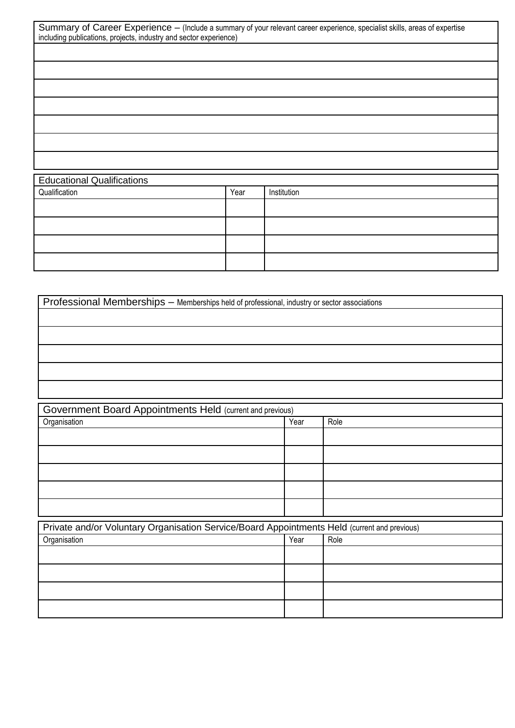| Summary of Career Experience - (Include a summary of your relevant career experience, specialist skills, areas of expertise |  |
|-----------------------------------------------------------------------------------------------------------------------------|--|
| including publications, projects, industry and sector experience)                                                           |  |

| <b>Educational Qualifications</b> |      |             |  |
|-----------------------------------|------|-------------|--|
| Qualification                     | Year | Institution |  |
|                                   |      |             |  |
|                                   |      |             |  |
|                                   |      |             |  |
|                                   |      |             |  |

| Professional Memberships - Memberships held of professional, industry or sector associations |      |      |  |  |
|----------------------------------------------------------------------------------------------|------|------|--|--|
|                                                                                              |      |      |  |  |
|                                                                                              |      |      |  |  |
|                                                                                              |      |      |  |  |
|                                                                                              |      |      |  |  |
|                                                                                              |      |      |  |  |
|                                                                                              |      |      |  |  |
| Government Board Appointments Held (current and previous)                                    |      |      |  |  |
| Organisation                                                                                 | Year | Role |  |  |
|                                                                                              |      |      |  |  |
|                                                                                              |      |      |  |  |
|                                                                                              |      |      |  |  |
|                                                                                              |      |      |  |  |
|                                                                                              |      |      |  |  |
| Private and/or Voluntary Organisation Service/Board Appointments Held (current and previous) |      |      |  |  |
| Organisation                                                                                 | Year | Role |  |  |
|                                                                                              |      |      |  |  |
|                                                                                              |      |      |  |  |
|                                                                                              |      |      |  |  |
|                                                                                              |      |      |  |  |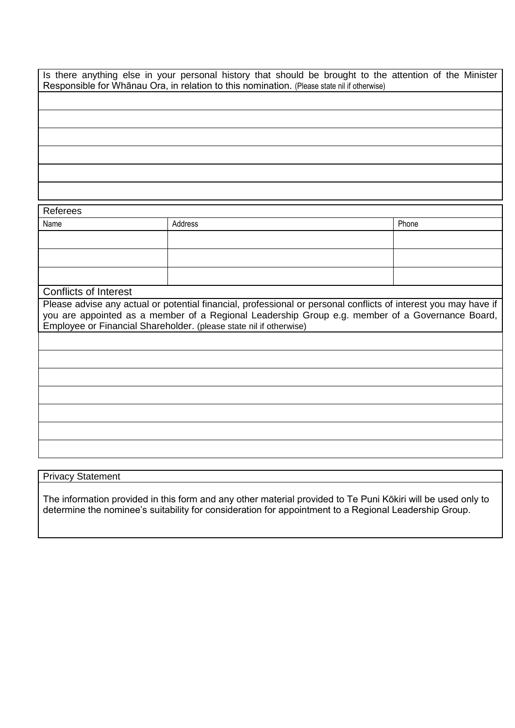Is there anything else in your personal history that should be brought to the attention of the Minister Responsible for Whānau Ora, in relation to this nomination. (Please state nil if otherwise)

Referees Name **Address** Phone **Address** Phone **Phone** Phone **Phone** Conflicts of Interest Please advise any actual or potential financial, professional or personal conflicts of interest you may have if you are appointed as a member of a Regional Leadership Group e.g. member of a Governance Board, Employee or Financial Shareholder. (please state nil if otherwise)

#### Privacy Statement

The information provided in this form and any other material provided to Te Puni Kōkiri will be used only to determine the nominee's suitability for consideration for appointment to a Regional Leadership Group.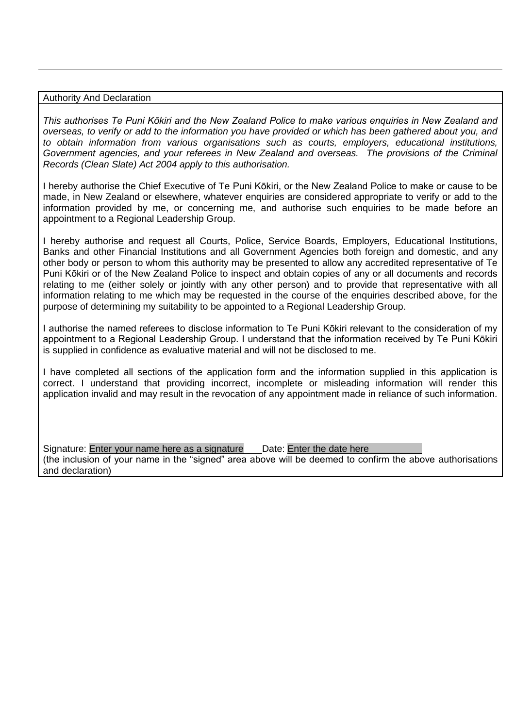#### Authority And Declaration

*This authorises Te Puni Kōkiri and the New Zealand Police to make various enquiries in New Zealand and overseas, to verify or add to the information you have provided or which has been gathered about you, and to obtain information from various organisations such as courts, employers, educational institutions, Government agencies, and your referees in New Zealand and overseas. The provisions of the Criminal Records (Clean Slate) Act 2004 apply to this authorisation.*

I hereby authorise the Chief Executive of Te Puni Kōkiri, or the New Zealand Police to make or cause to be made, in New Zealand or elsewhere, whatever enquiries are considered appropriate to verify or add to the information provided by me, or concerning me, and authorise such enquiries to be made before an appointment to a Regional Leadership Group.

I hereby authorise and request all Courts, Police, Service Boards, Employers, Educational Institutions, Banks and other Financial Institutions and all Government Agencies both foreign and domestic, and any other body or person to whom this authority may be presented to allow any accredited representative of Te Puni Kōkiri or of the New Zealand Police to inspect and obtain copies of any or all documents and records relating to me (either solely or jointly with any other person) and to provide that representative with all information relating to me which may be requested in the course of the enquiries described above, for the purpose of determining my suitability to be appointed to a Regional Leadership Group.

I authorise the named referees to disclose information to Te Puni Kōkiri relevant to the consideration of my appointment to a Regional Leadership Group. I understand that the information received by Te Puni Kōkiri is supplied in confidence as evaluative material and will not be disclosed to me.

I have completed all sections of the application form and the information supplied in this application is correct. I understand that providing incorrect, incomplete or misleading information will render this application invalid and may result in the revocation of any appointment made in reliance of such information.

Signature: Enter your name here as a signature Date: Enter the date here

(the inclusion of your name in the "signed" area above will be deemed to confirm the above authorisations and declaration)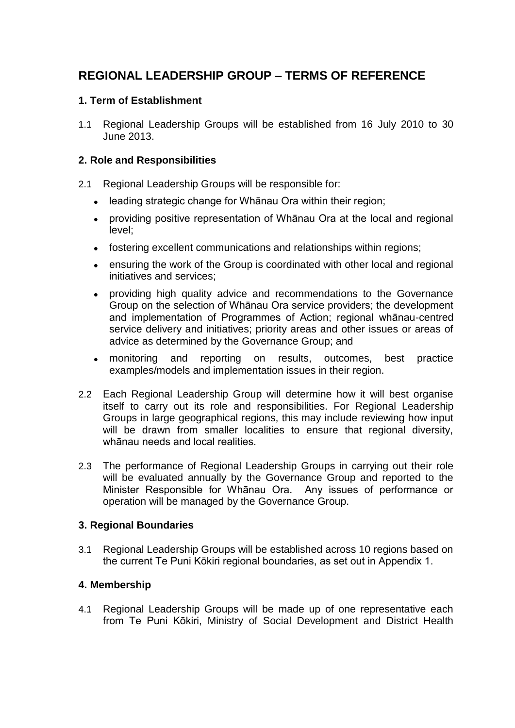# **REGIONAL LEADERSHIP GROUP – TERMS OF REFERENCE**

#### **1. Term of Establishment**

1.1 Regional Leadership Groups will be established from 16 July 2010 to 30 June 2013.

#### **2. Role and Responsibilities**

- 2.1 Regional Leadership Groups will be responsible for:
	- leading strategic change for Whānau Ora within their region;
	- providing positive representation of Whānau Ora at the local and regional  $\bullet$ level;
	- fostering excellent communications and relationships within regions;  $\bullet$
	- $\bullet$ ensuring the work of the Group is coordinated with other local and regional initiatives and services;
	- providing high quality advice and recommendations to the Governance  $\bullet$ Group on the selection of Whānau Ora service providers; the development and implementation of Programmes of Action; regional whānau-centred service delivery and initiatives; priority areas and other issues or areas of advice as determined by the Governance Group; and
	- monitoring and reporting on results, outcomes, best practice examples/models and implementation issues in their region.
- 2.2 Each Regional Leadership Group will determine how it will best organise itself to carry out its role and responsibilities. For Regional Leadership Groups in large geographical regions, this may include reviewing how input will be drawn from smaller localities to ensure that regional diversity, whānau needs and local realities.
- 2.3 The performance of Regional Leadership Groups in carrying out their role will be evaluated annually by the Governance Group and reported to the Minister Responsible for Whānau Ora. Any issues of performance or operation will be managed by the Governance Group.

#### **3. Regional Boundaries**

3.1 Regional Leadership Groups will be established across 10 regions based on the current Te Puni Kōkiri regional boundaries, as set out in Appendix 1.

#### **4. Membership**

4.1 Regional Leadership Groups will be made up of one representative each from Te Puni Kōkiri, Ministry of Social Development and District Health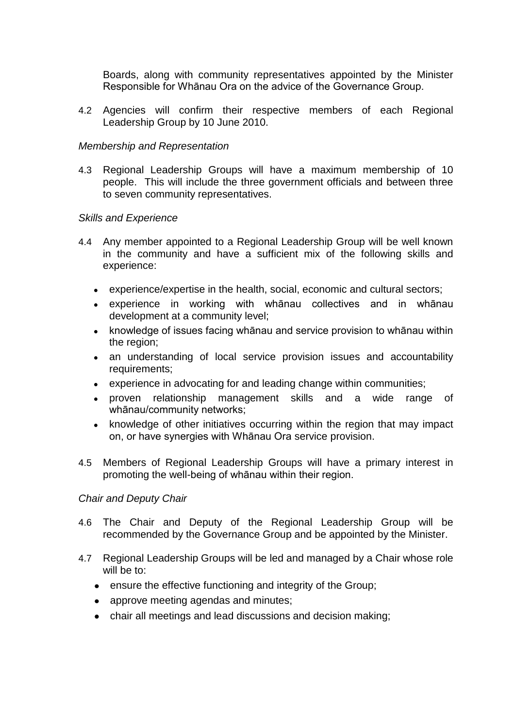Boards, along with community representatives appointed by the Minister Responsible for Whānau Ora on the advice of the Governance Group.

4.2 Agencies will confirm their respective members of each Regional Leadership Group by 10 June 2010.

#### *Membership and Representation*

4.3 Regional Leadership Groups will have a maximum membership of 10 people. This will include the three government officials and between three to seven community representatives.

#### *Skills and Experience*

- 4.4 Any member appointed to a Regional Leadership Group will be well known in the community and have a sufficient mix of the following skills and experience:
	- experience/expertise in the health, social, economic and cultural sectors;
	- experience in working with whānau collectives and in whānau development at a community level;
	- knowledge of issues facing whānau and service provision to whānau within  $\bullet$ the region;
	- an understanding of local service provision issues and accountability  $\bullet$ requirements;
	- experience in advocating for and leading change within communities;  $\bullet$
	- proven relationship management skills and a wide range of  $\bullet$ whānau/community networks;
	- knowledge of other initiatives occurring within the region that may impact  $\bullet$ on, or have synergies with Whānau Ora service provision.
- 4.5 Members of Regional Leadership Groups will have a primary interest in promoting the well-being of whānau within their region.

#### *Chair and Deputy Chair*

- 4.6 The Chair and Deputy of the Regional Leadership Group will be recommended by the Governance Group and be appointed by the Minister.
- 4.7 Regional Leadership Groups will be led and managed by a Chair whose role will be to:
	- ensure the effective functioning and integrity of the Group;
	- approve meeting agendas and minutes;
	- chair all meetings and lead discussions and decision making;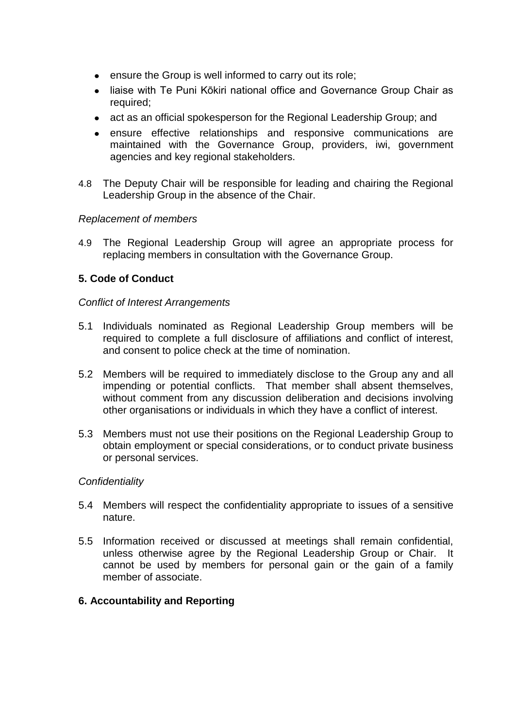- ensure the Group is well informed to carry out its role;
- liaise with Te Puni Kōkiri national office and Governance Group Chair as required;
- act as an official spokesperson for the Regional Leadership Group; and
- ensure effective relationships and responsive communications are maintained with the Governance Group, providers, iwi, government agencies and key regional stakeholders.
- 4.8 The Deputy Chair will be responsible for leading and chairing the Regional Leadership Group in the absence of the Chair.

#### *Replacement of members*

4.9 The Regional Leadership Group will agree an appropriate process for replacing members in consultation with the Governance Group.

#### **5. Code of Conduct**

#### *Conflict of Interest Arrangements*

- 5.1 Individuals nominated as Regional Leadership Group members will be required to complete a full disclosure of affiliations and conflict of interest, and consent to police check at the time of nomination.
- 5.2 Members will be required to immediately disclose to the Group any and all impending or potential conflicts. That member shall absent themselves, without comment from any discussion deliberation and decisions involving other organisations or individuals in which they have a conflict of interest.
- 5.3 Members must not use their positions on the Regional Leadership Group to obtain employment or special considerations, or to conduct private business or personal services.

#### *Confidentiality*

- 5.4 Members will respect the confidentiality appropriate to issues of a sensitive nature.
- 5.5 Information received or discussed at meetings shall remain confidential, unless otherwise agree by the Regional Leadership Group or Chair. It cannot be used by members for personal gain or the gain of a family member of associate.

#### **6. Accountability and Reporting**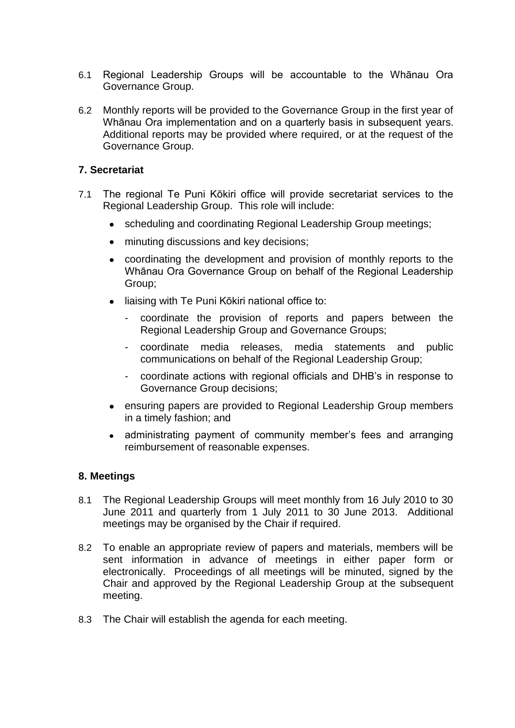- 6.1 Regional Leadership Groups will be accountable to the Whānau Ora Governance Group.
- 6.2 Monthly reports will be provided to the Governance Group in the first year of Whānau Ora implementation and on a quarterly basis in subsequent years. Additional reports may be provided where required, or at the request of the Governance Group.

#### **7. Secretariat**

- 7.1 The regional Te Puni Kōkiri office will provide secretariat services to the Regional Leadership Group. This role will include:
	- scheduling and coordinating Regional Leadership Group meetings;
	- minuting discussions and key decisions;
	- coordinating the development and provision of monthly reports to the Whānau Ora Governance Group on behalf of the Regional Leadership Group;
	- liaising with Te Puni Kōkiri national office to:
		- coordinate the provision of reports and papers between the Regional Leadership Group and Governance Groups;
		- coordinate media releases, media statements and public communications on behalf of the Regional Leadership Group;
		- coordinate actions with regional officials and DHB's in response to Governance Group decisions;
	- ensuring papers are provided to Regional Leadership Group members in a timely fashion; and
	- administrating payment of community member's fees and arranging reimbursement of reasonable expenses.

#### **8. Meetings**

- 8.1 The Regional Leadership Groups will meet monthly from 16 July 2010 to 30 June 2011 and quarterly from 1 July 2011 to 30 June 2013. Additional meetings may be organised by the Chair if required.
- 8.2 To enable an appropriate review of papers and materials, members will be sent information in advance of meetings in either paper form or electronically. Proceedings of all meetings will be minuted, signed by the Chair and approved by the Regional Leadership Group at the subsequent meeting.
- 8.3 The Chair will establish the agenda for each meeting.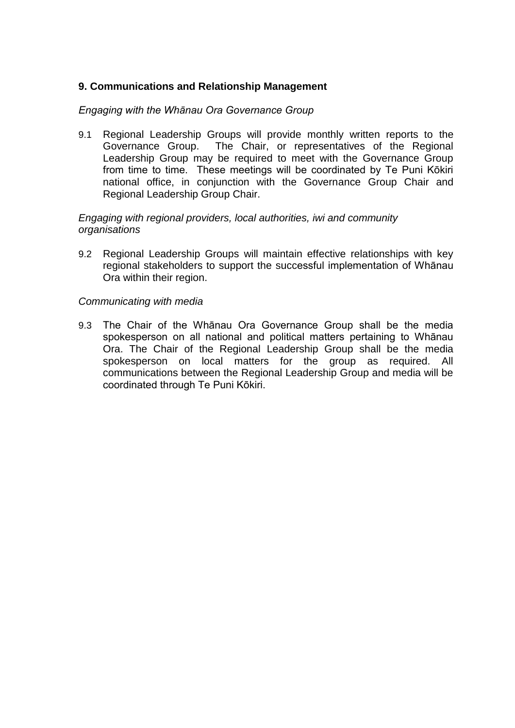#### **9. Communications and Relationship Management**

#### *Engaging with the Whānau Ora Governance Group*

9.1 Regional Leadership Groups will provide monthly written reports to the Governance Group. The Chair, or representatives of the Regional Leadership Group may be required to meet with the Governance Group from time to time. These meetings will be coordinated by Te Puni Kōkiri national office, in conjunction with the Governance Group Chair and Regional Leadership Group Chair.

#### *Engaging with regional providers, local authorities, iwi and community organisations*

9.2 Regional Leadership Groups will maintain effective relationships with key regional stakeholders to support the successful implementation of Whānau Ora within their region.

#### *Communicating with media*

9.3 The Chair of the Whānau Ora Governance Group shall be the media spokesperson on all national and political matters pertaining to Whānau Ora. The Chair of the Regional Leadership Group shall be the media spokesperson on local matters for the group as required. All communications between the Regional Leadership Group and media will be coordinated through Te Puni Kōkiri.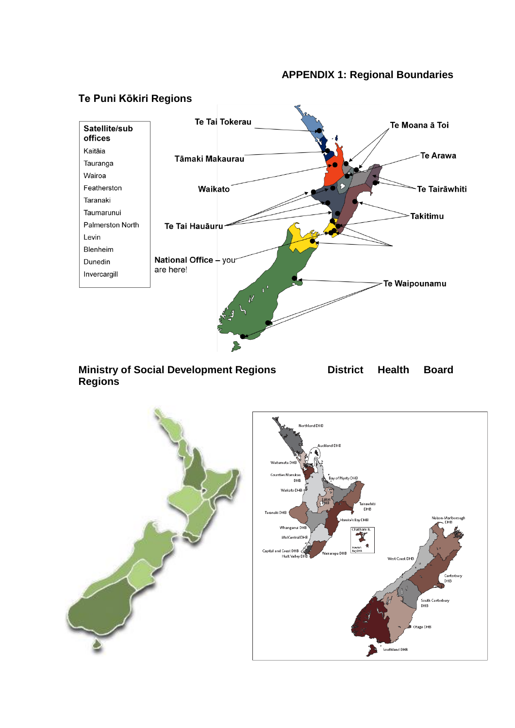#### **APPENDIX 1: Regional Boundaries**



# **Ministry of Social Development Regions District Health Board**





**Te Puni Kōkiri Regions**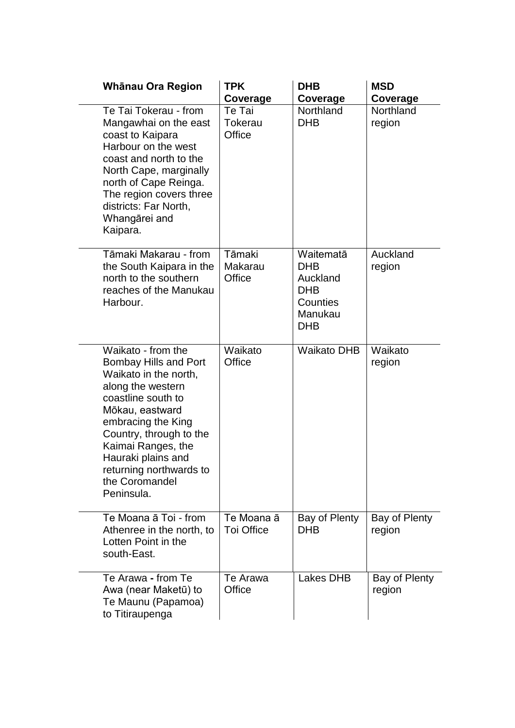| Whānau Ora Region                                                                                                                                                                                                                                                                                 | <b>TPK</b><br>Coverage          | <b>DHB</b><br>Coverage                                                                 | <b>MSD</b><br>Coverage  |
|---------------------------------------------------------------------------------------------------------------------------------------------------------------------------------------------------------------------------------------------------------------------------------------------------|---------------------------------|----------------------------------------------------------------------------------------|-------------------------|
| Te Tai Tokerau - from<br>Mangawhai on the east<br>coast to Kaipara<br>Harbour on the west<br>coast and north to the<br>North Cape, marginally<br>north of Cape Reinga.<br>The region covers three<br>districts: Far North,<br>Whangārei and<br>Kaipara.                                           | Te Tai<br>Tokerau<br>Office     | <b>Northland</b><br><b>DHB</b>                                                         | Northland<br>region     |
| Tāmaki Makarau - from<br>the South Kaipara in the<br>north to the southern<br>reaches of the Manukau<br>Harbour.                                                                                                                                                                                  | Tāmaki<br>Makarau<br>Office     | Waitematā<br><b>DHB</b><br>Auckland<br><b>DHB</b><br>Counties<br>Manukau<br><b>DHB</b> | Auckland<br>region      |
| Waikato - from the<br><b>Bombay Hills and Port</b><br>Waikato in the north,<br>along the western<br>coastline south to<br>Mōkau, eastward<br>embracing the King<br>Country, through to the<br>Kaimai Ranges, the<br>Hauraki plains and<br>returning northwards to<br>the Coromandel<br>Peninsula. | Waikato<br>Office               | <b>Waikato DHB</b>                                                                     | Waikato<br>region       |
| Te Moana ā Toi - from<br>Athenree in the north, to<br>Lotten Point in the<br>south-East.                                                                                                                                                                                                          | Te Moana ā<br><b>Toi Office</b> | Bay of Plenty<br><b>DHB</b>                                                            | Bay of Plenty<br>region |
| Te Arawa - from Te<br>Awa (near Maketū) to<br>Te Maunu (Papamoa)<br>to Titiraupenga                                                                                                                                                                                                               | Te Arawa<br>Office              | <b>Lakes DHB</b>                                                                       | Bay of Plenty<br>region |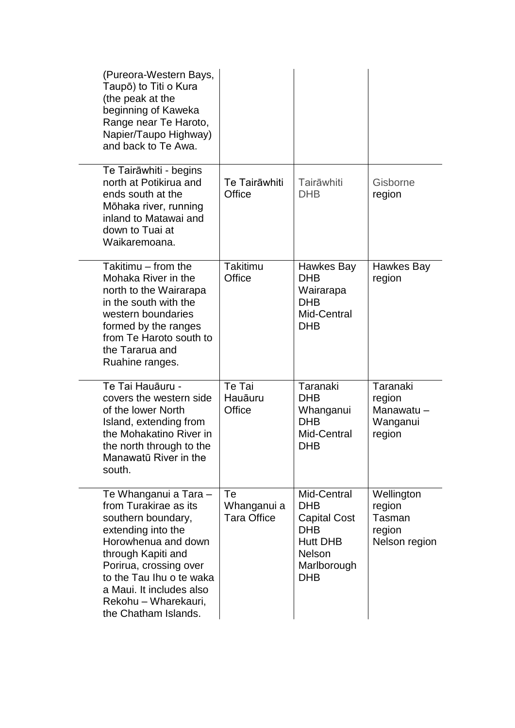| (Pureora-Western Bays,<br>Taupō) to Titi o Kura<br>(the peak at the<br>beginning of Kaweka<br>Range near Te Haroto,<br>Napier/Taupo Highway)<br>and back to Te Awa.                                                                                                       |                                         |                                                                                                                                 |                                                           |
|---------------------------------------------------------------------------------------------------------------------------------------------------------------------------------------------------------------------------------------------------------------------------|-----------------------------------------|---------------------------------------------------------------------------------------------------------------------------------|-----------------------------------------------------------|
| Te Tairāwhiti - begins<br>north at Potikirua and<br>ends south at the<br>Mōhaka river, running<br>inland to Matawai and<br>down to Tuai at<br>Waikaremoana.                                                                                                               | Te Tairāwhiti<br>Office                 | Tairāwhiti<br><b>DHB</b>                                                                                                        | Gisborne<br>region                                        |
| Takitimu - from the<br>Mohaka River in the<br>north to the Wairarapa<br>in the south with the<br>western boundaries<br>formed by the ranges<br>from Te Haroto south to<br>the Tararua and<br>Ruahine ranges.                                                              | <b>Takitimu</b><br>Office               | Hawkes Bay<br><b>DHB</b><br>Wairarapa<br><b>DHB</b><br>Mid-Central<br><b>DHB</b>                                                | Hawkes Bay<br>region                                      |
| Te Tai Hauāuru -<br>covers the western side<br>of the lower North<br>Island, extending from<br>the Mohakatino River in<br>the north through to the<br>Manawatū River in the<br>south.                                                                                     | Te Tai<br>Hauāuru<br>Office             | Taranaki<br><b>DHB</b><br>Whanganui<br><b>DHB</b><br>Mid-Central<br><b>DHB</b>                                                  | Taranaki<br>region<br>Manawatu-<br>Wanganui<br>region     |
| Te Whanganui a Tara -<br>from Turakirae as its<br>southern boundary,<br>extending into the<br>Horowhenua and down<br>through Kapiti and<br>Porirua, crossing over<br>to the Tau Ihu o te waka<br>a Maui. It includes also<br>Rekohu - Wharekauri,<br>the Chatham Islands. | Te<br>Whanganui a<br><b>Tara Office</b> | Mid-Central<br><b>DHB</b><br><b>Capital Cost</b><br><b>DHB</b><br><b>Hutt DHB</b><br><b>Nelson</b><br>Marlborough<br><b>DHB</b> | Wellington<br>region<br>Tasman<br>region<br>Nelson region |